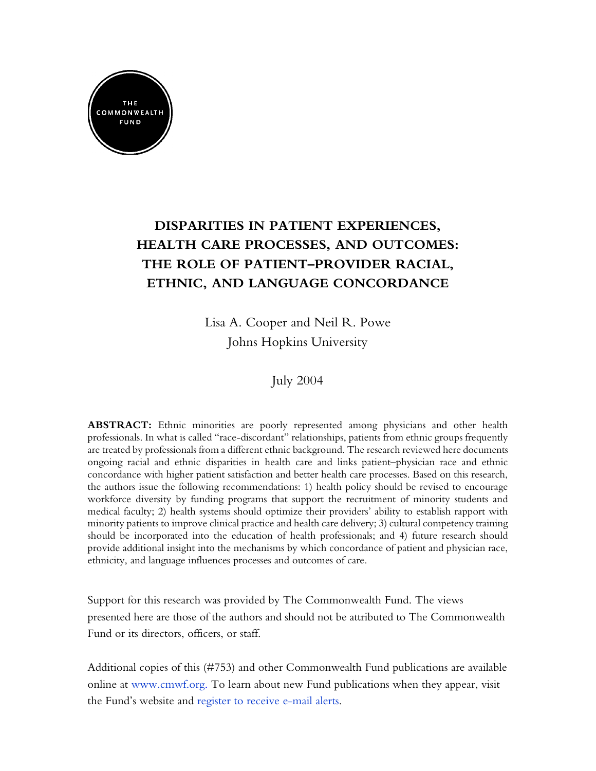

# **DISPARITIES IN PATIENT EXPERIENCES, HEALTH CARE PROCESSES, AND OUTCOMES: THE ROLE OF PATIENT–PROVIDER RACIAL, ETHNIC, AND LANGUAGE CONCORDANCE**

Lisa A. Cooper and Neil R. Powe Johns Hopkins University

July 2004

**ABSTRACT:** Ethnic minorities are poorly represented among physicians and other health professionals. In what is called "race-discordant" relationships, patients from ethnic groups frequently are treated by professionals from a different ethnic background. The research reviewed here documents ongoing racial and ethnic disparities in health care and links patient–physician race and ethnic concordance with higher patient satisfaction and better health care processes. Based on this research, the authors issue the following recommendations: 1) health policy should be revised to encourage workforce diversity by funding programs that support the recruitment of minority students and medical faculty; 2) health systems should optimize their providers' ability to establish rapport with minority patients to improve clinical practice and health care delivery; 3) cultural competency training should be incorporated into the education of health professionals; and 4) future research should provide additional insight into the mechanisms by which concordance of patient and physician race, ethnicity, and language influences processes and outcomes of care.

Support for this research was provided by The Commonwealth Fund. The views presented here are those of the authors and should not be attributed to The Commonwealth Fund or its directors, officers, or staff.

Additional copies of this (#753) and other Commonwealth Fund publications are available online at [www.cmwf.org](http://www.cmwf.org/). To learn about new Fund publications when they appear, visit the Fund's website and [register to receive e-mail alerts](http://www.cmwf.org/email_alert/index.asp?link=10).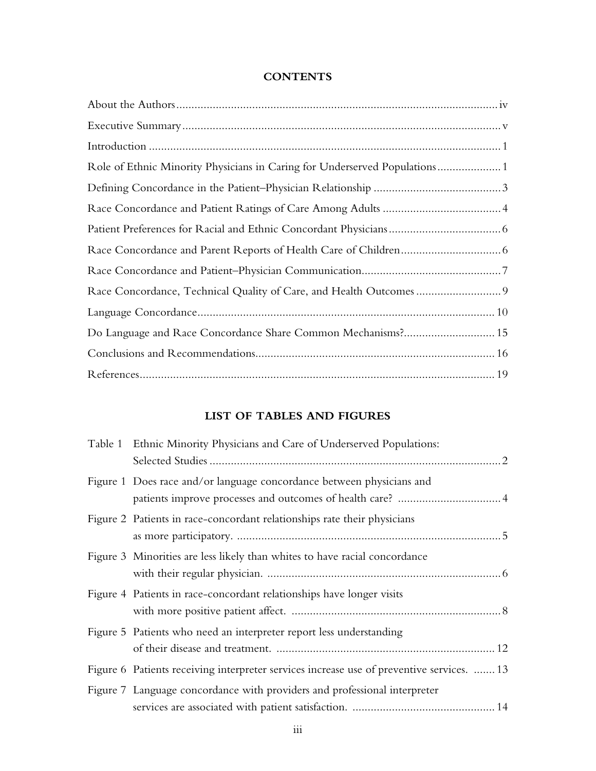### **CONTENTS**

## **LIST OF TABLES AND FIGURES**

| Table 1 Ethnic Minority Physicians and Care of Underserved Populations:                   |
|-------------------------------------------------------------------------------------------|
| Figure 1 Does race and/or language concordance between physicians and                     |
| Figure 2 Patients in race-concordant relationships rate their physicians                  |
| Figure 3 Minorities are less likely than whites to have racial concordance                |
| Figure 4 Patients in race-concordant relationships have longer visits                     |
| Figure 5 Patients who need an interpreter report less understanding                       |
| Figure 6 Patients receiving interpreter services increase use of preventive services.  13 |
| Figure 7 Language concordance with providers and professional interpreter                 |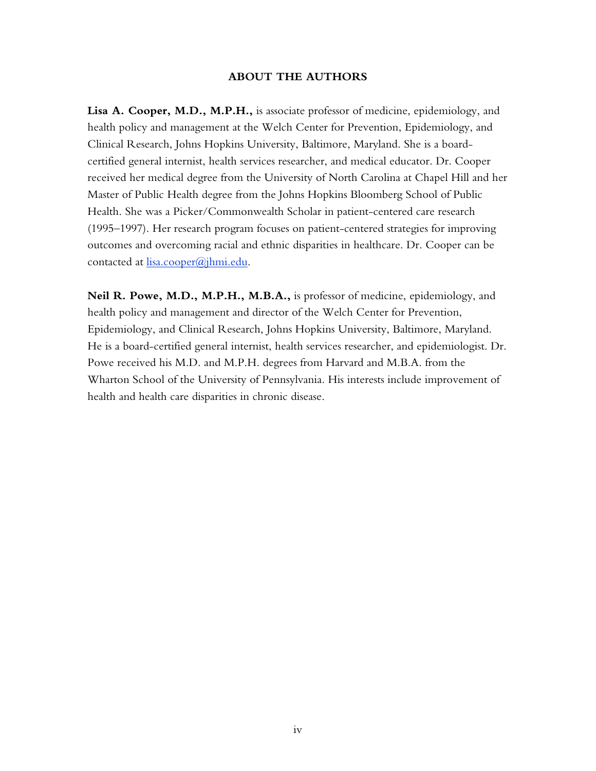### **ABOUT THE AUTHORS**

**Lisa A. Cooper, M.D., M.P.H.,** is associate professor of medicine, epidemiology, and health policy and management at the Welch Center for Prevention, Epidemiology, and Clinical Research, Johns Hopkins University, Baltimore, Maryland. She is a boardcertified general internist, health services researcher, and medical educator. Dr. Cooper received her medical degree from the University of North Carolina at Chapel Hill and her Master of Public Health degree from the Johns Hopkins Bloomberg School of Public Health. She was a Picker/Commonwealth Scholar in patient-centered care research (1995–1997). Her research program focuses on patient-centered strategies for improving outcomes and overcoming racial and ethnic disparities in healthcare. Dr. Cooper can be contacted at *[lisa.cooper@jhmi.edu](mailto:lisa.cooper@jhmi.edu).* 

**Neil R. Powe, M.D., M.P.H., M.B.A.,** is professor of medicine, epidemiology, and health policy and management and director of the Welch Center for Prevention, Epidemiology, and Clinical Research, Johns Hopkins University, Baltimore, Maryland. He is a board-certified general internist, health services researcher, and epidemiologist. Dr. Powe received his M.D. and M.P.H. degrees from Harvard and M.B.A. from the Wharton School of the University of Pennsylvania. His interests include improvement of health and health care disparities in chronic disease.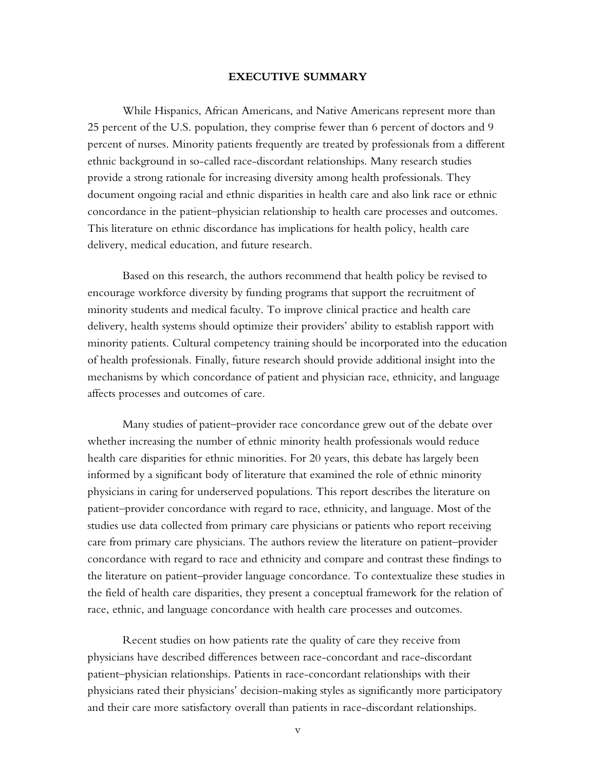#### **EXECUTIVE SUMMARY**

While Hispanics, African Americans, and Native Americans represent more than 25 percent of the U.S. population, they comprise fewer than 6 percent of doctors and 9 percent of nurses. Minority patients frequently are treated by professionals from a different ethnic background in so-called race-discordant relationships. Many research studies provide a strong rationale for increasing diversity among health professionals. They document ongoing racial and ethnic disparities in health care and also link race or ethnic concordance in the patient–physician relationship to health care processes and outcomes. This literature on ethnic discordance has implications for health policy, health care delivery, medical education, and future research.

Based on this research, the authors recommend that health policy be revised to encourage workforce diversity by funding programs that support the recruitment of minority students and medical faculty. To improve clinical practice and health care delivery, health systems should optimize their providers' ability to establish rapport with minority patients. Cultural competency training should be incorporated into the education of health professionals. Finally, future research should provide additional insight into the mechanisms by which concordance of patient and physician race, ethnicity, and language affects processes and outcomes of care.

Many studies of patient–provider race concordance grew out of the debate over whether increasing the number of ethnic minority health professionals would reduce health care disparities for ethnic minorities. For 20 years, this debate has largely been informed by a significant body of literature that examined the role of ethnic minority physicians in caring for underserved populations. This report describes the literature on patient–provider concordance with regard to race, ethnicity, and language. Most of the studies use data collected from primary care physicians or patients who report receiving care from primary care physicians. The authors review the literature on patient–provider concordance with regard to race and ethnicity and compare and contrast these findings to the literature on patient–provider language concordance. To contextualize these studies in the field of health care disparities, they present a conceptual framework for the relation of race, ethnic, and language concordance with health care processes and outcomes.

Recent studies on how patients rate the quality of care they receive from physicians have described differences between race-concordant and race-discordant patient–physician relationships. Patients in race-concordant relationships with their physicians rated their physicians' decision-making styles as significantly more participatory and their care more satisfactory overall than patients in race-discordant relationships.

v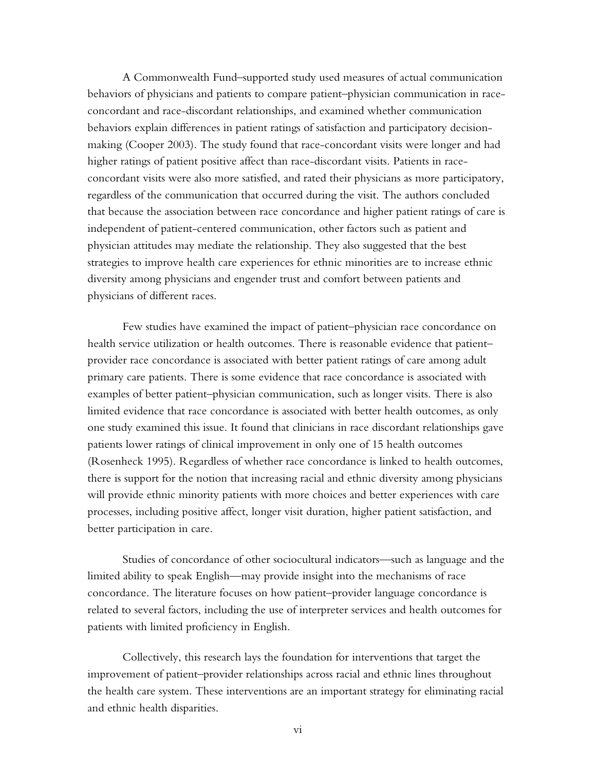A Commonwealth Fund–supported study used measures of actual communication behaviors of physicians and patients to compare patient–physician communication in raceconcordant and race-discordant relationships, and examined whether communication behaviors explain differences in patient ratings of satisfaction and participatory decisionmaking (Cooper 2003). The study found that race-concordant visits were longer and had higher ratings of patient positive affect than race-discordant visits. Patients in raceconcordant visits were also more satisfied, and rated their physicians as more participatory, regardless of the communication that occurred during the visit. The authors concluded that because the association between race concordance and higher patient ratings of care is independent of patient-centered communication, other factors such as patient and physician attitudes may mediate the relationship. They also suggested that the best strategies to improve health care experiences for ethnic minorities are to increase ethnic diversity among physicians and engender trust and comfort between patients and physicians of different races.

Few studies have examined the impact of patient–physician race concordance on health service utilization or health outcomes. There is reasonable evidence that patient– provider race concordance is associated with better patient ratings of care among adult primary care patients. There is some evidence that race concordance is associated with examples of better patient–physician communication, such as longer visits. There is also limited evidence that race concordance is associated with better health outcomes, as only one study examined this issue. It found that clinicians in race discordant relationships gave patients lower ratings of clinical improvement in only one of 15 health outcomes (Rosenheck 1995). Regardless of whether race concordance is linked to health outcomes, there is support for the notion that increasing racial and ethnic diversity among physicians will provide ethnic minority patients with more choices and better experiences with care processes, including positive affect, longer visit duration, higher patient satisfaction, and better participation in care.

Studies of concordance of other sociocultural indicators—such as language and the limited ability to speak English—may provide insight into the mechanisms of race concordance. The literature focuses on how patient–provider language concordance is related to several factors, including the use of interpreter services and health outcomes for patients with limited proficiency in English.

Collectively, this research lays the foundation for interventions that target the improvement of patient–provider relationships across racial and ethnic lines throughout the health care system. These interventions are an important strategy for eliminating racial and ethnic health disparities.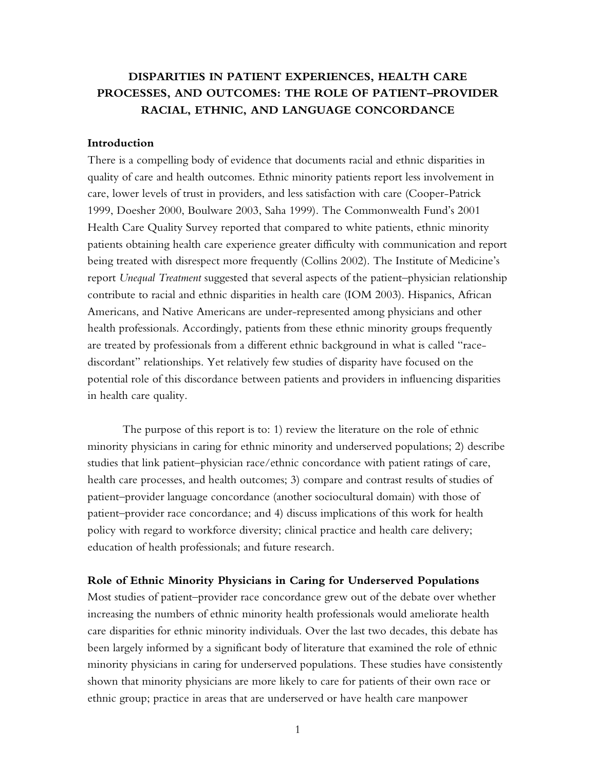# **DISPARITIES IN PATIENT EXPERIENCES, HEALTH CARE PROCESSES, AND OUTCOMES: THE ROLE OF PATIENT–PROVIDER RACIAL, ETHNIC, AND LANGUAGE CONCORDANCE**

### **Introduction**

There is a compelling body of evidence that documents racial and ethnic disparities in quality of care and health outcomes. Ethnic minority patients report less involvement in care, lower levels of trust in providers, and less satisfaction with care (Cooper-Patrick 1999, Doesher 2000, Boulware 2003, Saha 1999). The Commonwealth Fund's 2001 Health Care Quality Survey reported that compared to white patients, ethnic minority patients obtaining health care experience greater difficulty with communication and report being treated with disrespect more frequently (Collins 2002). The Institute of Medicine's report *Unequal Treatment* suggested that several aspects of the patient–physician relationship contribute to racial and ethnic disparities in health care (IOM 2003). Hispanics, African Americans, and Native Americans are under-represented among physicians and other health professionals. Accordingly, patients from these ethnic minority groups frequently are treated by professionals from a different ethnic background in what is called "racediscordant" relationships. Yet relatively few studies of disparity have focused on the potential role of this discordance between patients and providers in influencing disparities in health care quality.

The purpose of this report is to: 1) review the literature on the role of ethnic minority physicians in caring for ethnic minority and underserved populations; 2) describe studies that link patient–physician race/ethnic concordance with patient ratings of care, health care processes, and health outcomes; 3) compare and contrast results of studies of patient–provider language concordance (another sociocultural domain) with those of patient–provider race concordance; and 4) discuss implications of this work for health policy with regard to workforce diversity; clinical practice and health care delivery; education of health professionals; and future research.

### **Role of Ethnic Minority Physicians in Caring for Underserved Populations**

Most studies of patient–provider race concordance grew out of the debate over whether increasing the numbers of ethnic minority health professionals would ameliorate health care disparities for ethnic minority individuals. Over the last two decades, this debate has been largely informed by a significant body of literature that examined the role of ethnic minority physicians in caring for underserved populations. These studies have consistently shown that minority physicians are more likely to care for patients of their own race or ethnic group; practice in areas that are underserved or have health care manpower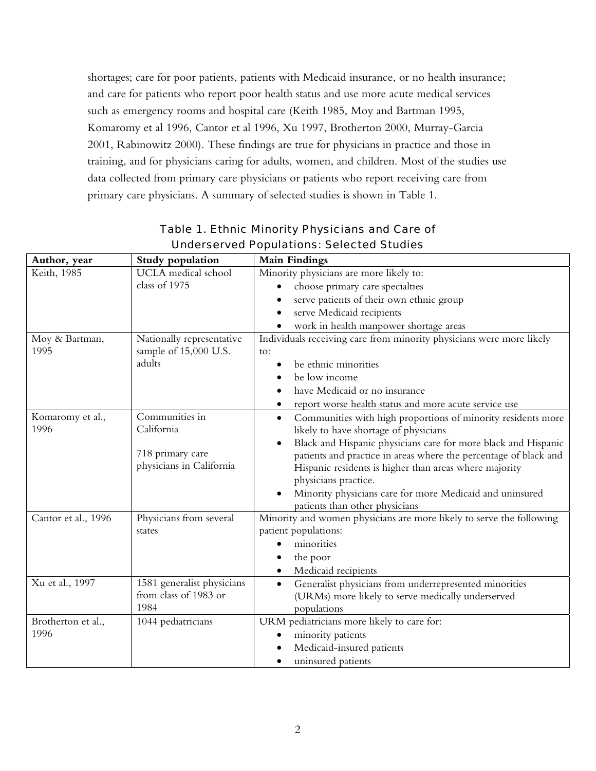shortages; care for poor patients, patients with Medicaid insurance, or no health insurance; and care for patients who report poor health status and use more acute medical services such as emergency rooms and hospital care (Keith 1985, Moy and Bartman 1995, Komaromy et al 1996, Cantor et al 1996, Xu 1997, Brotherton 2000, Murray-Garcia 2001, Rabinowitz 2000). These findings are true for physicians in practice and those in training, and for physicians caring for adults, women, and children. Most of the studies use data collected from primary care physicians or patients who report receiving care from primary care physicians. A summary of selected studies is shown in Table 1.

|                     | Study population           | <b>Main Findings</b>                                                        |
|---------------------|----------------------------|-----------------------------------------------------------------------------|
| Author, year        |                            |                                                                             |
| Keith, 1985         | UCLA medical school        | Minority physicians are more likely to:                                     |
|                     | class of 1975              | choose primary care specialties                                             |
|                     |                            | serve patients of their own ethnic group                                    |
|                     |                            | serve Medicaid recipients                                                   |
|                     |                            | work in health manpower shortage areas                                      |
| Moy & Bartman,      | Nationally representative  | Individuals receiving care from minority physicians were more likely        |
| 1995                | sample of 15,000 U.S.      | to:                                                                         |
|                     | adults                     | be ethnic minorities                                                        |
|                     |                            | be low income                                                               |
|                     |                            | have Medicaid or no insurance                                               |
|                     |                            | report worse health status and more acute service use<br>$\bullet$          |
| Komaromy et al.,    | Communities in             | Communities with high proportions of minority residents more<br>$\bullet$   |
| 1996                | California                 | likely to have shortage of physicians                                       |
|                     |                            | Black and Hispanic physicians care for more black and Hispanic<br>$\bullet$ |
|                     | 718 primary care           | patients and practice in areas where the percentage of black and            |
|                     | physicians in California   | Hispanic residents is higher than areas where majority                      |
|                     |                            | physicians practice.                                                        |
|                     |                            | Minority physicians care for more Medicaid and uninsured                    |
|                     |                            | patients than other physicians                                              |
| Cantor et al., 1996 | Physicians from several    | Minority and women physicians are more likely to serve the following        |
|                     | states                     | patient populations:                                                        |
|                     |                            | minorities                                                                  |
|                     |                            | the poor                                                                    |
|                     |                            | Medicaid recipients                                                         |
| Xu et al., 1997     | 1581 generalist physicians | Generalist physicians from underrepresented minorities<br>$\bullet$         |
|                     | from class of 1983 or      | (URMs) more likely to serve medically underserved                           |
|                     | 1984                       | populations                                                                 |
| Brotherton et al.,  | 1044 pediatricians         | URM pediatricians more likely to care for:                                  |
| 1996                |                            | minority patients                                                           |
|                     |                            | Medicaid-insured patients                                                   |
|                     |                            | uninsured patients                                                          |

# Table 1. Ethnic Minority Physicians and Care of Underserved Populations: Selected Studies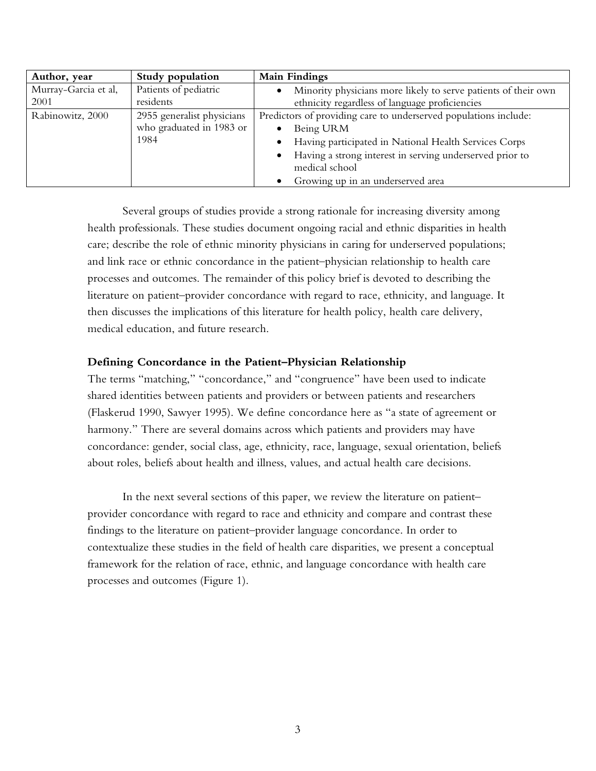| Author, year         | Study population           | <b>Main Findings</b>                                                  |
|----------------------|----------------------------|-----------------------------------------------------------------------|
| Murray-Garcia et al, | Patients of pediatric      | Minority physicians more likely to serve patients of their own        |
| 2001                 | residents                  | ethnicity regardless of language proficiencies                        |
| Rabinowitz, 2000     | 2955 generalist physicians | Predictors of providing care to underserved populations include:      |
|                      | who graduated in 1983 or   | Being URM                                                             |
|                      | 1984                       | Having participated in National Health Services Corps<br>٠            |
|                      |                            | Having a strong interest in serving underserved prior to<br>$\bullet$ |
|                      |                            | medical school                                                        |
|                      |                            | Growing up in an underserved area                                     |

Several groups of studies provide a strong rationale for increasing diversity among health professionals. These studies document ongoing racial and ethnic disparities in health care; describe the role of ethnic minority physicians in caring for underserved populations; and link race or ethnic concordance in the patient–physician relationship to health care processes and outcomes. The remainder of this policy brief is devoted to describing the literature on patient–provider concordance with regard to race, ethnicity, and language. It then discusses the implications of this literature for health policy, health care delivery, medical education, and future research.

### **Defining Concordance in the Patient–Physician Relationship**

The terms "matching," "concordance," and "congruence" have been used to indicate shared identities between patients and providers or between patients and researchers (Flaskerud 1990, Sawyer 1995). We define concordance here as "a state of agreement or harmony." There are several domains across which patients and providers may have concordance: gender, social class, age, ethnicity, race, language, sexual orientation, beliefs about roles, beliefs about health and illness, values, and actual health care decisions.

In the next several sections of this paper, we review the literature on patient– provider concordance with regard to race and ethnicity and compare and contrast these findings to the literature on patient–provider language concordance. In order to contextualize these studies in the field of health care disparities, we present a conceptual framework for the relation of race, ethnic, and language concordance with health care processes and outcomes (Figure 1).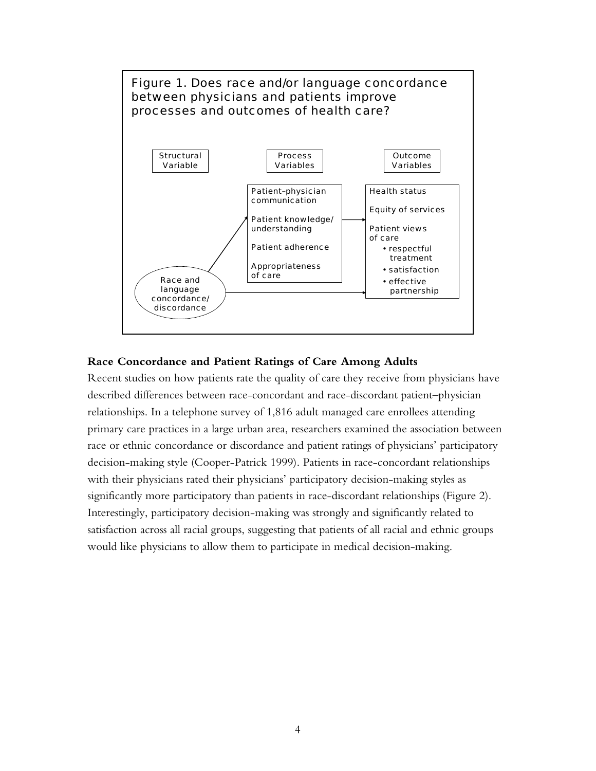

### **Race Concordance and Patient Ratings of Care Among Adults**

Recent studies on how patients rate the quality of care they receive from physicians have described differences between race-concordant and race-discordant patient–physician relationships. In a telephone survey of 1,816 adult managed care enrollees attending primary care practices in a large urban area, researchers examined the association between race or ethnic concordance or discordance and patient ratings of physicians' participatory decision-making style (Cooper-Patrick 1999). Patients in race-concordant relationships with their physicians rated their physicians' participatory decision-making styles as significantly more participatory than patients in race-discordant relationships (Figure 2). Interestingly, participatory decision-making was strongly and significantly related to satisfaction across all racial groups, suggesting that patients of all racial and ethnic groups would like physicians to allow them to participate in medical decision-making.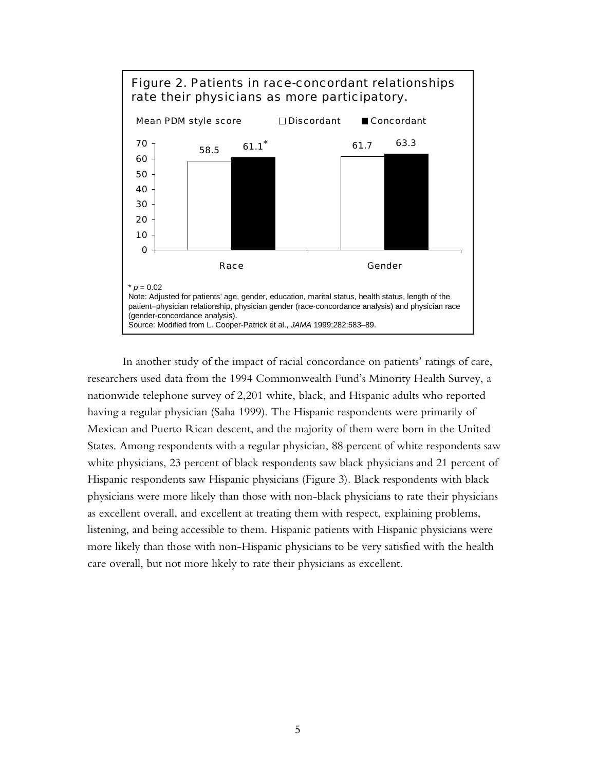

In another study of the impact of racial concordance on patients' ratings of care, researchers used data from the 1994 Commonwealth Fund's Minority Health Survey, a nationwide telephone survey of 2,201 white, black, and Hispanic adults who reported having a regular physician (Saha 1999). The Hispanic respondents were primarily of Mexican and Puerto Rican descent, and the majority of them were born in the United States. Among respondents with a regular physician, 88 percent of white respondents saw white physicians, 23 percent of black respondents saw black physicians and 21 percent of Hispanic respondents saw Hispanic physicians (Figure 3). Black respondents with black physicians were more likely than those with non-black physicians to rate their physicians as excellent overall, and excellent at treating them with respect, explaining problems, listening, and being accessible to them. Hispanic patients with Hispanic physicians were more likely than those with non-Hispanic physicians to be very satisfied with the health care overall, but not more likely to rate their physicians as excellent.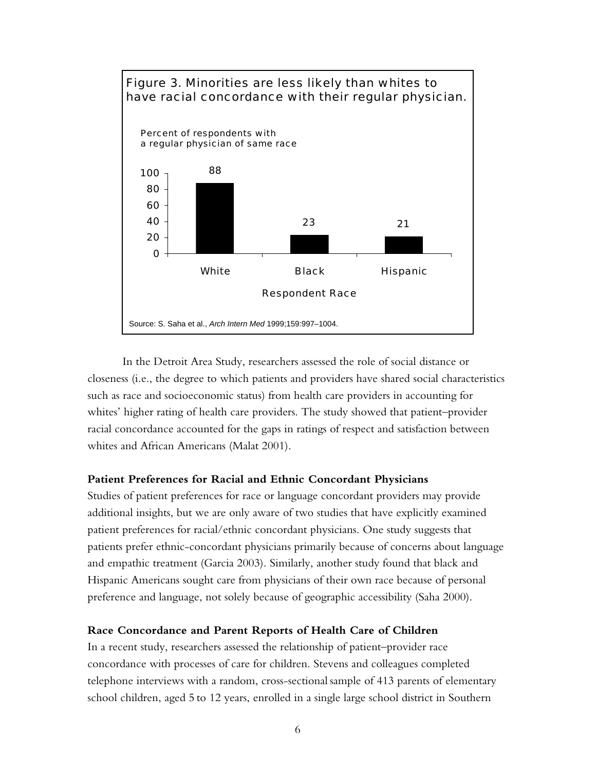

In the Detroit Area Study, researchers assessed the role of social distance or closeness (i.e., the degree to which patients and providers have shared social characteristics such as race and socioeconomic status) from health care providers in accounting for whites' higher rating of health care providers. The study showed that patient–provider racial concordance accounted for the gaps in ratings of respect and satisfaction between whites and African Americans (Malat 2001).

### **Patient Preferences for Racial and Ethnic Concordant Physicians**

Studies of patient preferences for race or language concordant providers may provide additional insights, but we are only aware of two studies that have explicitly examined patient preferences for racial/ethnic concordant physicians. One study suggests that patients prefer ethnic-concordant physicians primarily because of concerns about language and empathic treatment (Garcia 2003). Similarly, another study found that black and Hispanic Americans sought care from physicians of their own race because of personal preference and language, not solely because of geographic accessibility (Saha 2000).

### **Race Concordance and Parent Reports of Health Care of Children**

In a recent study, researchers assessed the relationship of patient–provider race concordance with processes of care for children. Stevens and colleagues completed telephone interviews with a random, cross-sectional sample of 413 parents of elementary school children, aged 5 to 12 years, enrolled in a single large school district in Southern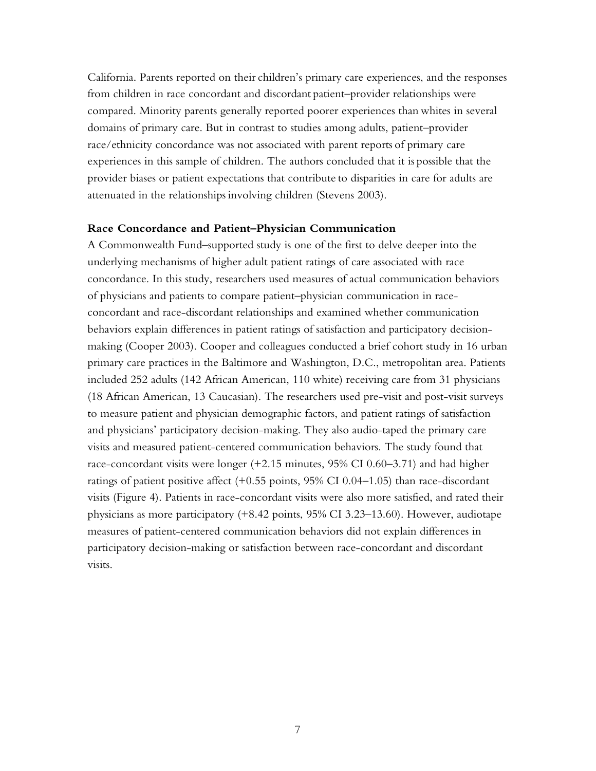California. Parents reported on their children's primary care experiences, and the responses from children in race concordant and discordant patient–provider relationships were compared. Minority parents generally reported poorer experiences than whites in several domains of primary care. But in contrast to studies among adults, patient–provider race/ethnicity concordance was not associated with parent reports of primary care experiences in this sample of children. The authors concluded that it is possible that the provider biases or patient expectations that contribute to disparities in care for adults are attenuated in the relationships involving children (Stevens 2003).

### **Race Concordance and Patient–Physician Communication**

A Commonwealth Fund–supported study is one of the first to delve deeper into the underlying mechanisms of higher adult patient ratings of care associated with race concordance. In this study, researchers used measures of actual communication behaviors of physicians and patients to compare patient–physician communication in raceconcordant and race-discordant relationships and examined whether communication behaviors explain differences in patient ratings of satisfaction and participatory decisionmaking (Cooper 2003). Cooper and colleagues conducted a brief cohort study in 16 urban primary care practices in the Baltimore and Washington, D.C., metropolitan area. Patients included 252 adults (142 African American, 110 white) receiving care from 31 physicians (18 African American, 13 Caucasian). The researchers used pre-visit and post-visit surveys to measure patient and physician demographic factors, and patient ratings of satisfaction and physicians' participatory decision-making. They also audio-taped the primary care visits and measured patient-centered communication behaviors. The study found that race-concordant visits were longer (+2.15 minutes, 95% CI 0.60–3.71) and had higher ratings of patient positive affect (+0.55 points, 95% CI 0.04–1.05) than race-discordant visits (Figure 4). Patients in race-concordant visits were also more satisfied, and rated their physicians as more participatory (+8.42 points, 95% CI 3.23–13.60). However, audiotape measures of patient-centered communication behaviors did not explain differences in participatory decision-making or satisfaction between race-concordant and discordant visits.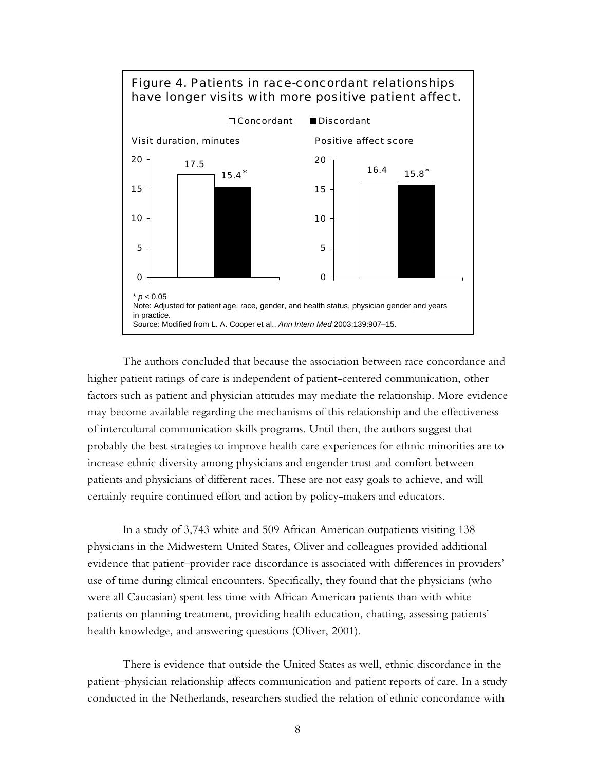

The authors concluded that because the association between race concordance and higher patient ratings of care is independent of patient-centered communication, other factors such as patient and physician attitudes may mediate the relationship. More evidence may become available regarding the mechanisms of this relationship and the effectiveness of intercultural communication skills programs. Until then, the authors suggest that probably the best strategies to improve health care experiences for ethnic minorities are to increase ethnic diversity among physicians and engender trust and comfort between patients and physicians of different races. These are not easy goals to achieve, and will certainly require continued effort and action by policy-makers and educators.

In a study of 3,743 white and 509 African American outpatients visiting 138 physicians in the Midwestern United States, Oliver and colleagues provided additional evidence that patient–provider race discordance is associated with differences in providers' use of time during clinical encounters. Specifically, they found that the physicians (who were all Caucasian) spent less time with African American patients than with white patients on planning treatment, providing health education, chatting, assessing patients' health knowledge, and answering questions (Oliver, 2001).

There is evidence that outside the United States as well, ethnic discordance in the patient–physician relationship affects communication and patient reports of care. In a study conducted in the Netherlands, researchers studied the relation of ethnic concordance with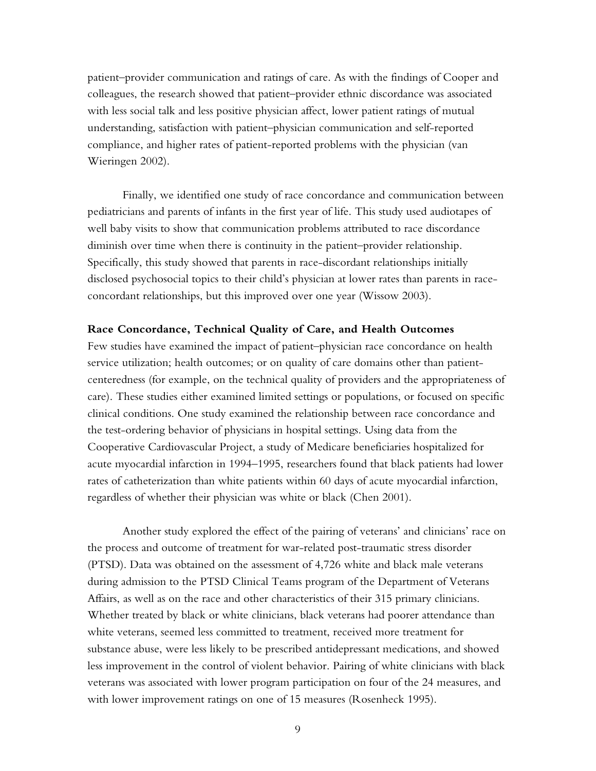patient–provider communication and ratings of care. As with the findings of Cooper and colleagues, the research showed that patient–provider ethnic discordance was associated with less social talk and less positive physician affect, lower patient ratings of mutual understanding, satisfaction with patient–physician communication and self-reported compliance, and higher rates of patient-reported problems with the physician (van Wieringen 2002).

Finally, we identified one study of race concordance and communication between pediatricians and parents of infants in the first year of life. This study used audiotapes of well baby visits to show that communication problems attributed to race discordance diminish over time when there is continuity in the patient–provider relationship. Specifically, this study showed that parents in race-discordant relationships initially disclosed psychosocial topics to their child's physician at lower rates than parents in raceconcordant relationships, but this improved over one year (Wissow 2003).

### **Race Concordance, Technical Quality of Care, and Health Outcomes**

Few studies have examined the impact of patient–physician race concordance on health service utilization; health outcomes; or on quality of care domains other than patientcenteredness (for example, on the technical quality of providers and the appropriateness of care). These studies either examined limited settings or populations, or focused on specific clinical conditions. One study examined the relationship between race concordance and the test-ordering behavior of physicians in hospital settings. Using data from the Cooperative Cardiovascular Project, a study of Medicare beneficiaries hospitalized for acute myocardial infarction in 1994–1995, researchers found that black patients had lower rates of catheterization than white patients within 60 days of acute myocardial infarction, regardless of whether their physician was white or black (Chen 2001).

Another study explored the effect of the pairing of veterans' and clinicians' race on the process and outcome of treatment for war-related post-traumatic stress disorder (PTSD). Data was obtained on the assessment of 4,726 white and black male veterans during admission to the PTSD Clinical Teams program of the Department of Veterans Affairs, as well as on the race and other characteristics of their 315 primary clinicians. Whether treated by black or white clinicians, black veterans had poorer attendance than white veterans, seemed less committed to treatment, received more treatment for substance abuse, were less likely to be prescribed antidepressant medications, and showed less improvement in the control of violent behavior. Pairing of white clinicians with black veterans was associated with lower program participation on four of the 24 measures, and with lower improvement ratings on one of 15 measures (Rosenheck 1995).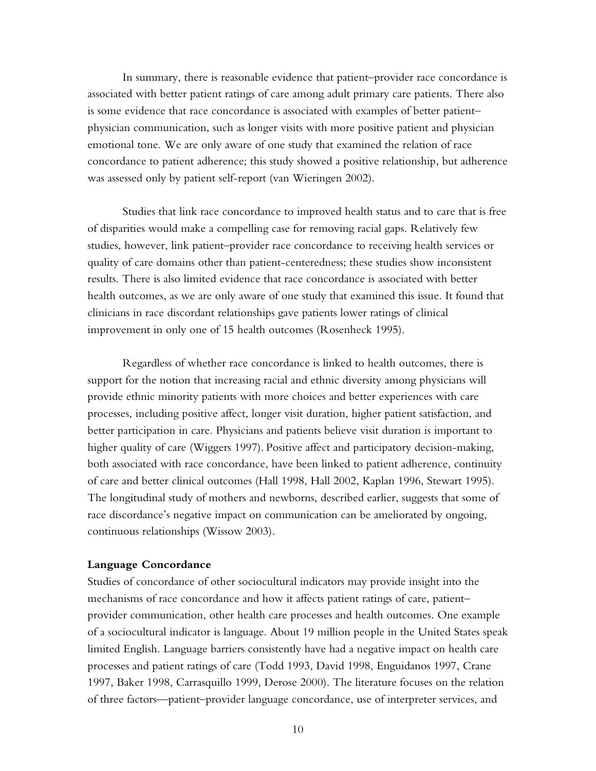In summary, there is reasonable evidence that patient–provider race concordance is associated with better patient ratings of care among adult primary care patients. There also is some evidence that race concordance is associated with examples of better patient– physician communication, such as longer visits with more positive patient and physician emotional tone. We are only aware of one study that examined the relation of race concordance to patient adherence; this study showed a positive relationship, but adherence was assessed only by patient self-report (van Wieringen 2002).

Studies that link race concordance to improved health status and to care that is free of disparities would make a compelling case for removing racial gaps. Relatively few studies, however, link patient–provider race concordance to receiving health services or quality of care domains other than patient-centeredness; these studies show inconsistent results. There is also limited evidence that race concordance is associated with better health outcomes, as we are only aware of one study that examined this issue. It found that clinicians in race discordant relationships gave patients lower ratings of clinical improvement in only one of 15 health outcomes (Rosenheck 1995).

Regardless of whether race concordance is linked to health outcomes, there is support for the notion that increasing racial and ethnic diversity among physicians will provide ethnic minority patients with more choices and better experiences with care processes, including positive affect, longer visit duration, higher patient satisfaction, and better participation in care. Physicians and patients believe visit duration is important to higher quality of care (Wiggers 1997). Positive affect and participatory decision-making, both associated with race concordance, have been linked to patient adherence, continuity of care and better clinical outcomes (Hall 1998, Hall 2002, Kaplan 1996, Stewart 1995). The longitudinal study of mothers and newborns, described earlier, suggests that some of race discordance's negative impact on communication can be ameliorated by ongoing, continuous relationships (Wissow 2003).

#### **Language Concordance**

Studies of concordance of other sociocultural indicators may provide insight into the mechanisms of race concordance and how it affects patient ratings of care, patient– provider communication, other health care processes and health outcomes. One example of a sociocultural indicator is language. About 19 million people in the United States speak limited English. Language barriers consistently have had a negative impact on health care processes and patient ratings of care (Todd 1993, David 1998, Enguidanos 1997, Crane 1997, Baker 1998, Carrasquillo 1999, Derose 2000). The literature focuses on the relation of three factors—patient–provider language concordance, use of interpreter services, and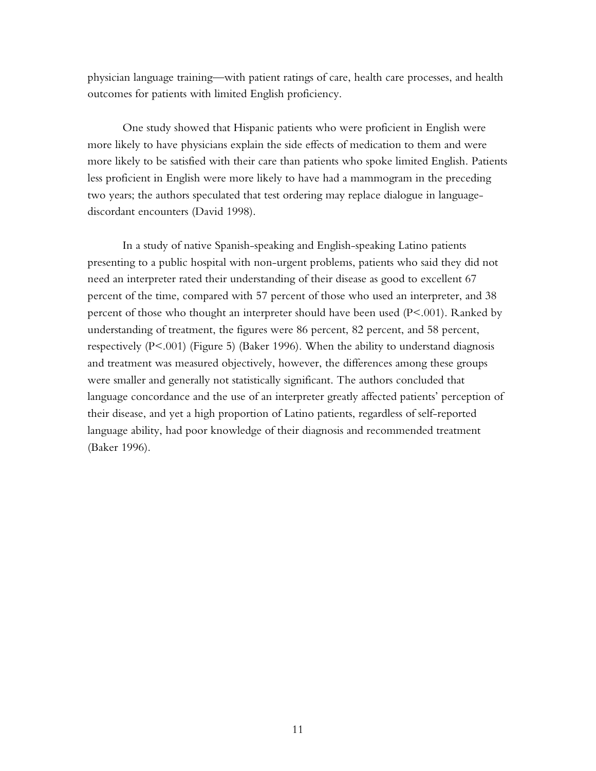physician language training—with patient ratings of care, health care processes, and health outcomes for patients with limited English proficiency.

One study showed that Hispanic patients who were proficient in English were more likely to have physicians explain the side effects of medication to them and were more likely to be satisfied with their care than patients who spoke limited English. Patients less proficient in English were more likely to have had a mammogram in the preceding two years; the authors speculated that test ordering may replace dialogue in languagediscordant encounters (David 1998).

In a study of native Spanish-speaking and English-speaking Latino patients presenting to a public hospital with non-urgent problems, patients who said they did not need an interpreter rated their understanding of their disease as good to excellent 67 percent of the time, compared with 57 percent of those who used an interpreter, and 38 percent of those who thought an interpreter should have been used (P<.001). Ranked by understanding of treatment, the figures were 86 percent, 82 percent, and 58 percent, respectively (P<.001) (Figure 5) (Baker 1996). When the ability to understand diagnosis and treatment was measured objectively, however, the differences among these groups were smaller and generally not statistically significant. The authors concluded that language concordance and the use of an interpreter greatly affected patients' perception of their disease, and yet a high proportion of Latino patients, regardless of self-reported language ability, had poor knowledge of their diagnosis and recommended treatment (Baker 1996).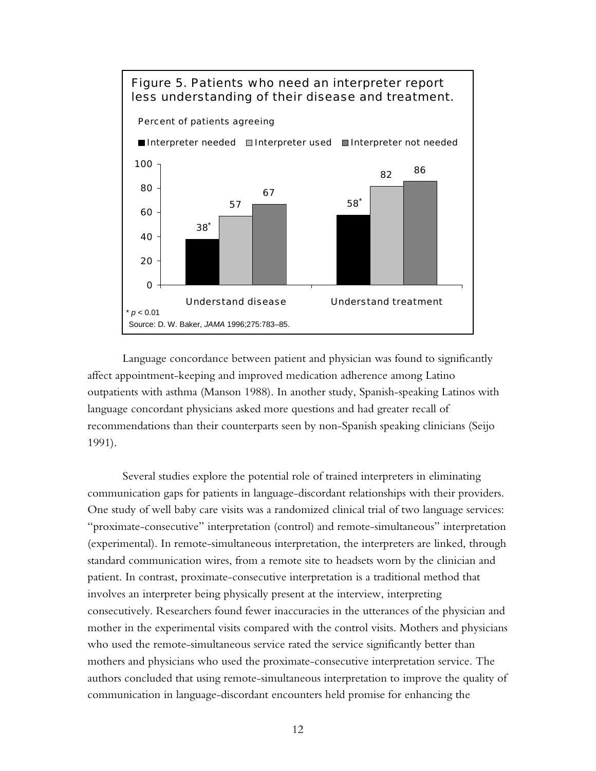

Language concordance between patient and physician was found to significantly affect appointment-keeping and improved medication adherence among Latino outpatients with asthma (Manson 1988). In another study, Spanish-speaking Latinos with language concordant physicians asked more questions and had greater recall of recommendations than their counterparts seen by non-Spanish speaking clinicians (Seijo 1991).

Several studies explore the potential role of trained interpreters in eliminating communication gaps for patients in language-discordant relationships with their providers. One study of well baby care visits was a randomized clinical trial of two language services: "proximate-consecutive" interpretation (control) and remote-simultaneous" interpretation (experimental). In remote-simultaneous interpretation, the interpreters are linked, through standard communication wires, from a remote site to headsets worn by the clinician and patient. In contrast, proximate-consecutive interpretation is a traditional method that involves an interpreter being physically present at the interview, interpreting consecutively. Researchers found fewer inaccuracies in the utterances of the physician and mother in the experimental visits compared with the control visits. Mothers and physicians who used the remote-simultaneous service rated the service significantly better than mothers and physicians who used the proximate-consecutive interpretation service. The authors concluded that using remote-simultaneous interpretation to improve the quality of communication in language-discordant encounters held promise for enhancing the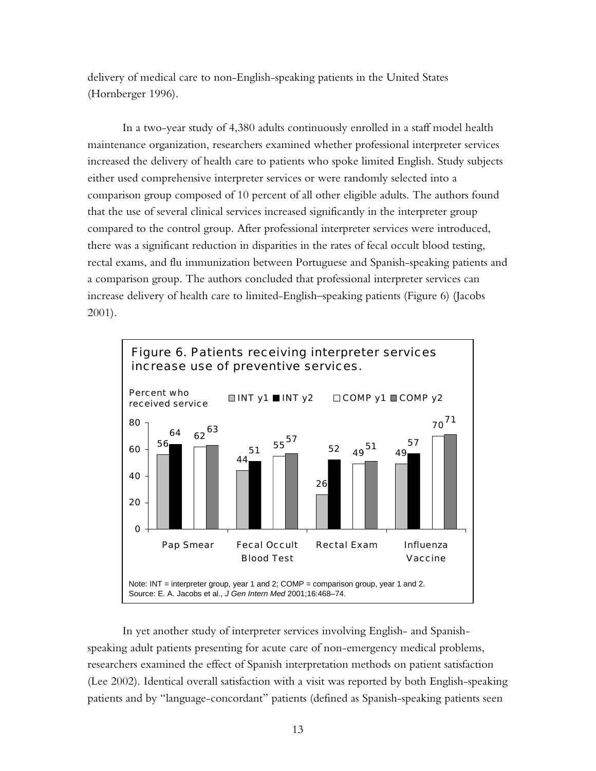delivery of medical care to non-English-speaking patients in the United States (Hornberger 1996).

In a two-year study of 4,380 adults continuously enrolled in a staff model health maintenance organization, researchers examined whether professional interpreter services increased the delivery of health care to patients who spoke limited English. Study subjects either used comprehensive interpreter services or were randomly selected into a comparison group composed of 10 percent of all other eligible adults. The authors found that the use of several clinical services increased significantly in the interpreter group compared to the control group. After professional interpreter services were introduced, there was a significant reduction in disparities in the rates of fecal occult blood testing, rectal exams, and flu immunization between Portuguese and Spanish-speaking patients and a comparison group. The authors concluded that professional interpreter services can increase delivery of health care to limited-English–speaking patients (Figure 6) (Jacobs 2001).



In yet another study of interpreter services involving English- and Spanishspeaking adult patients presenting for acute care of non-emergency medical problems, researchers examined the effect of Spanish interpretation methods on patient satisfaction (Lee 2002). Identical overall satisfaction with a visit was reported by both English-speaking patients and by "language-concordant" patients (defined as Spanish-speaking patients seen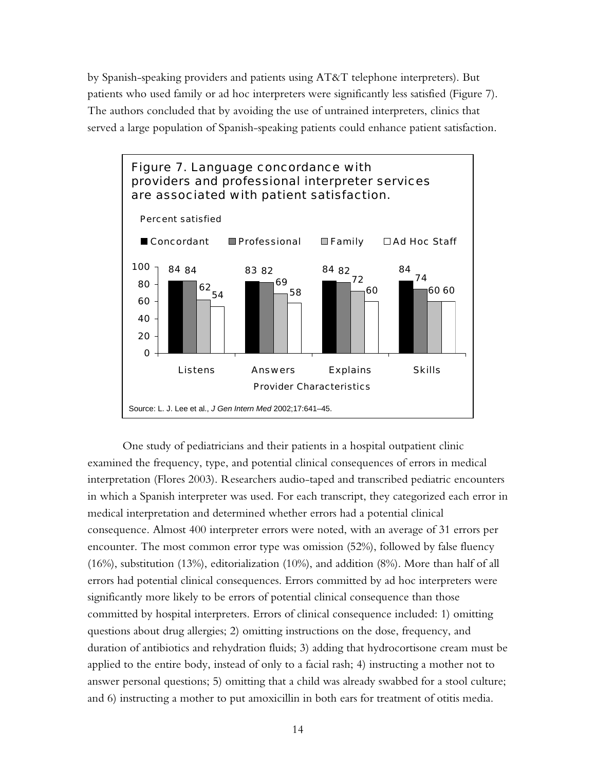by Spanish-speaking providers and patients using AT&T telephone interpreters). But patients who used family or ad hoc interpreters were significantly less satisfied (Figure 7). The authors concluded that by avoiding the use of untrained interpreters, clinics that served a large population of Spanish-speaking patients could enhance patient satisfaction.



One study of pediatricians and their patients in a hospital outpatient clinic examined the frequency, type, and potential clinical consequences of errors in medical interpretation (Flores 2003). Researchers audio-taped and transcribed pediatric encounters in which a Spanish interpreter was used. For each transcript, they categorized each error in medical interpretation and determined whether errors had a potential clinical consequence. Almost 400 interpreter errors were noted, with an average of 31 errors per encounter. The most common error type was omission (52%), followed by false fluency (16%), substitution (13%), editorialization (10%), and addition (8%). More than half of all errors had potential clinical consequences. Errors committed by ad hoc interpreters were significantly more likely to be errors of potential clinical consequence than those committed by hospital interpreters. Errors of clinical consequence included: 1) omitting questions about drug allergies; 2) omitting instructions on the dose, frequency, and duration of antibiotics and rehydration fluids; 3) adding that hydrocortisone cream must be applied to the entire body, instead of only to a facial rash; 4) instructing a mother not to answer personal questions; 5) omitting that a child was already swabbed for a stool culture; and 6) instructing a mother to put amoxicillin in both ears for treatment of otitis media.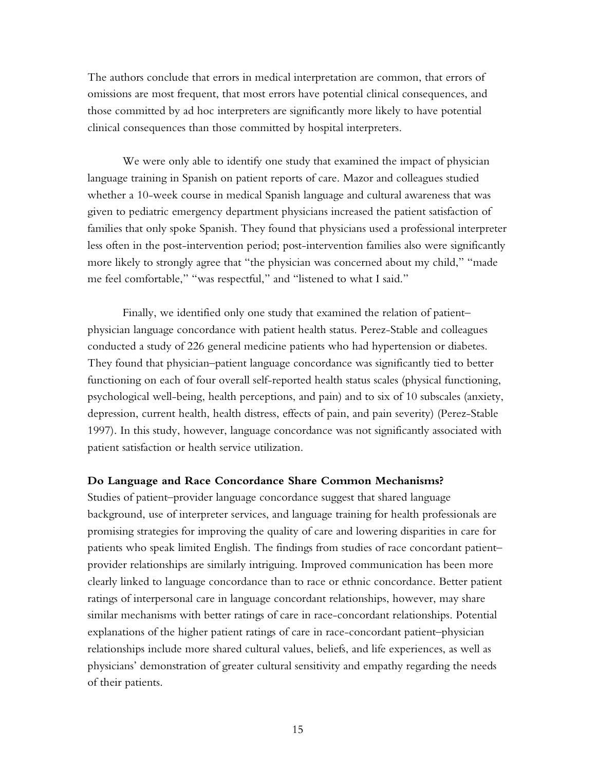The authors conclude that errors in medical interpretation are common, that errors of omissions are most frequent, that most errors have potential clinical consequences, and those committed by ad hoc interpreters are significantly more likely to have potential clinical consequences than those committed by hospital interpreters.

We were only able to identify one study that examined the impact of physician language training in Spanish on patient reports of care. Mazor and colleagues studied whether a 10-week course in medical Spanish language and cultural awareness that was given to pediatric emergency department physicians increased the patient satisfaction of families that only spoke Spanish. They found that physicians used a professional interpreter less often in the post-intervention period; post-intervention families also were significantly more likely to strongly agree that "the physician was concerned about my child," "made me feel comfortable," "was respectful," and "listened to what I said."

Finally, we identified only one study that examined the relation of patient– physician language concordance with patient health status. Perez-Stable and colleagues conducted a study of 226 general medicine patients who had hypertension or diabetes. They found that physician–patient language concordance was significantly tied to better functioning on each of four overall self-reported health status scales (physical functioning, psychological well-being, health perceptions, and pain) and to six of 10 subscales (anxiety, depression, current health, health distress, effects of pain, and pain severity) (Perez-Stable 1997). In this study, however, language concordance was not significantly associated with patient satisfaction or health service utilization.

#### **Do Language and Race Concordance Share Common Mechanisms?**

Studies of patient–provider language concordance suggest that shared language background, use of interpreter services, and language training for health professionals are promising strategies for improving the quality of care and lowering disparities in care for patients who speak limited English. The findings from studies of race concordant patient– provider relationships are similarly intriguing. Improved communication has been more clearly linked to language concordance than to race or ethnic concordance. Better patient ratings of interpersonal care in language concordant relationships, however, may share similar mechanisms with better ratings of care in race-concordant relationships. Potential explanations of the higher patient ratings of care in race-concordant patient–physician relationships include more shared cultural values, beliefs, and life experiences, as well as physicians' demonstration of greater cultural sensitivity and empathy regarding the needs of their patients.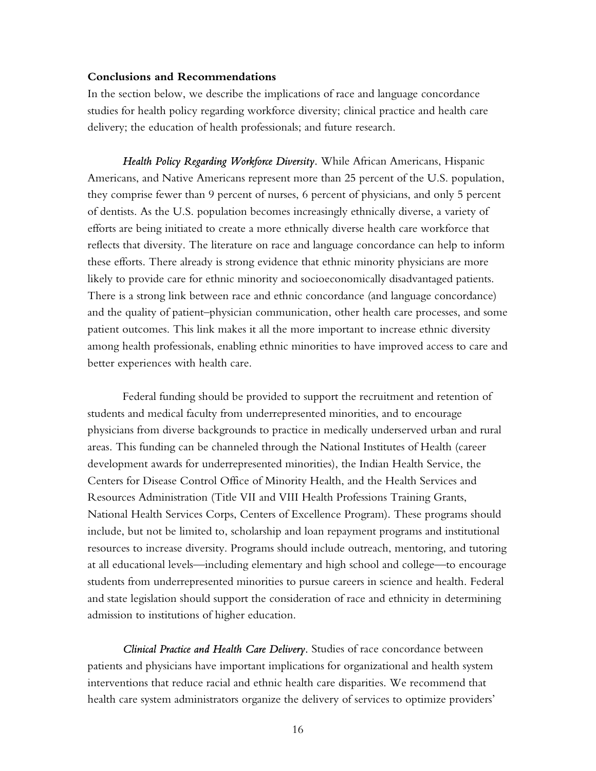### **Conclusions and Recommendations**

In the section below, we describe the implications of race and language concordance studies for health policy regarding workforce diversity; clinical practice and health care delivery; the education of health professionals; and future research.

*Health Policy Regarding Workforce Diversity.* While African Americans, Hispanic Americans, and Native Americans represent more than 25 percent of the U.S. population, they comprise fewer than 9 percent of nurses, 6 percent of physicians, and only 5 percent of dentists. As the U.S. population becomes increasingly ethnically diverse, a variety of efforts are being initiated to create a more ethnically diverse health care workforce that reflects that diversity. The literature on race and language concordance can help to inform these efforts. There already is strong evidence that ethnic minority physicians are more likely to provide care for ethnic minority and socioeconomically disadvantaged patients. There is a strong link between race and ethnic concordance (and language concordance) and the quality of patient–physician communication, other health care processes, and some patient outcomes. This link makes it all the more important to increase ethnic diversity among health professionals, enabling ethnic minorities to have improved access to care and better experiences with health care.

Federal funding should be provided to support the recruitment and retention of students and medical faculty from underrepresented minorities, and to encourage physicians from diverse backgrounds to practice in medically underserved urban and rural areas. This funding can be channeled through the National Institutes of Health (career development awards for underrepresented minorities), the Indian Health Service, the Centers for Disease Control Office of Minority Health, and the Health Services and Resources Administration (Title VII and VIII Health Professions Training Grants, National Health Services Corps, Centers of Excellence Program). These programs should include, but not be limited to, scholarship and loan repayment programs and institutional resources to increase diversity. Programs should include outreach, mentoring, and tutoring at all educational levels—including elementary and high school and college—to encourage students from underrepresented minorities to pursue careers in science and health. Federal and state legislation should support the consideration of race and ethnicity in determining admission to institutions of higher education.

*Clinical Practice and Health Care Delivery.* Studies of race concordance between patients and physicians have important implications for organizational and health system interventions that reduce racial and ethnic health care disparities. We recommend that health care system administrators organize the delivery of services to optimize providers'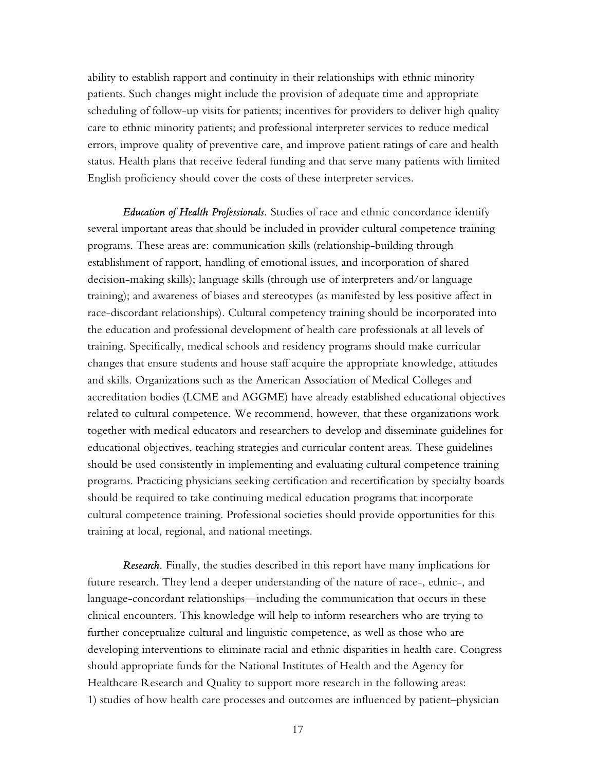ability to establish rapport and continuity in their relationships with ethnic minority patients. Such changes might include the provision of adequate time and appropriate scheduling of follow-up visits for patients; incentives for providers to deliver high quality care to ethnic minority patients; and professional interpreter services to reduce medical errors, improve quality of preventive care, and improve patient ratings of care and health status. Health plans that receive federal funding and that serve many patients with limited English proficiency should cover the costs of these interpreter services.

*Education of Health Professionals.* Studies of race and ethnic concordance identify several important areas that should be included in provider cultural competence training programs. These areas are: communication skills (relationship-building through establishment of rapport, handling of emotional issues, and incorporation of shared decision-making skills); language skills (through use of interpreters and/or language training); and awareness of biases and stereotypes (as manifested by less positive affect in race-discordant relationships). Cultural competency training should be incorporated into the education and professional development of health care professionals at all levels of training. Specifically, medical schools and residency programs should make curricular changes that ensure students and house staff acquire the appropriate knowledge, attitudes and skills. Organizations such as the American Association of Medical Colleges and accreditation bodies (LCME and AGGME) have already established educational objectives related to cultural competence. We recommend, however, that these organizations work together with medical educators and researchers to develop and disseminate guidelines for educational objectives, teaching strategies and curricular content areas. These guidelines should be used consistently in implementing and evaluating cultural competence training programs. Practicing physicians seeking certification and recertification by specialty boards should be required to take continuing medical education programs that incorporate cultural competence training. Professional societies should provide opportunities for this training at local, regional, and national meetings.

*Research.* Finally, the studies described in this report have many implications for future research. They lend a deeper understanding of the nature of race-, ethnic-, and language-concordant relationships—including the communication that occurs in these clinical encounters. This knowledge will help to inform researchers who are trying to further conceptualize cultural and linguistic competence, as well as those who are developing interventions to eliminate racial and ethnic disparities in health care. Congress should appropriate funds for the National Institutes of Health and the Agency for Healthcare Research and Quality to support more research in the following areas: 1) studies of how health care processes and outcomes are influenced by patient–physician

17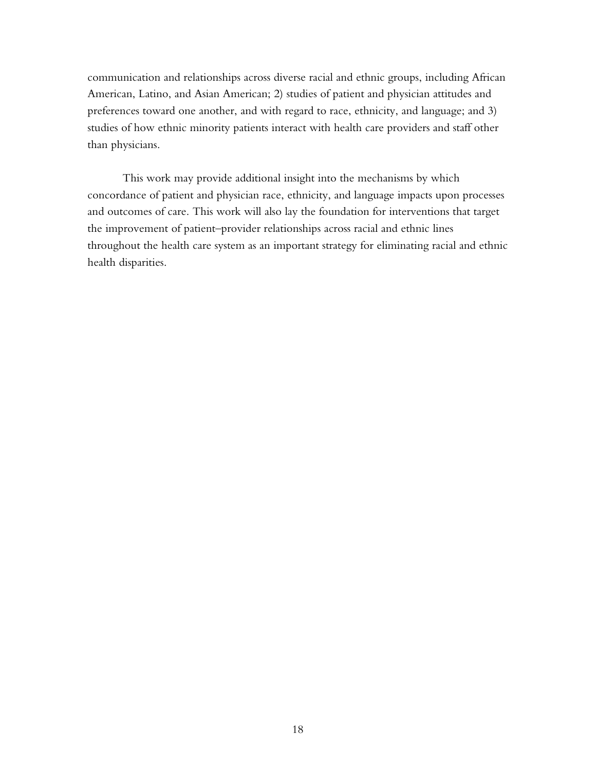communication and relationships across diverse racial and ethnic groups, including African American, Latino, and Asian American; 2) studies of patient and physician attitudes and preferences toward one another, and with regard to race, ethnicity, and language; and 3) studies of how ethnic minority patients interact with health care providers and staff other than physicians.

This work may provide additional insight into the mechanisms by which concordance of patient and physician race, ethnicity, and language impacts upon processes and outcomes of care. This work will also lay the foundation for interventions that target the improvement of patient–provider relationships across racial and ethnic lines throughout the health care system as an important strategy for eliminating racial and ethnic health disparities.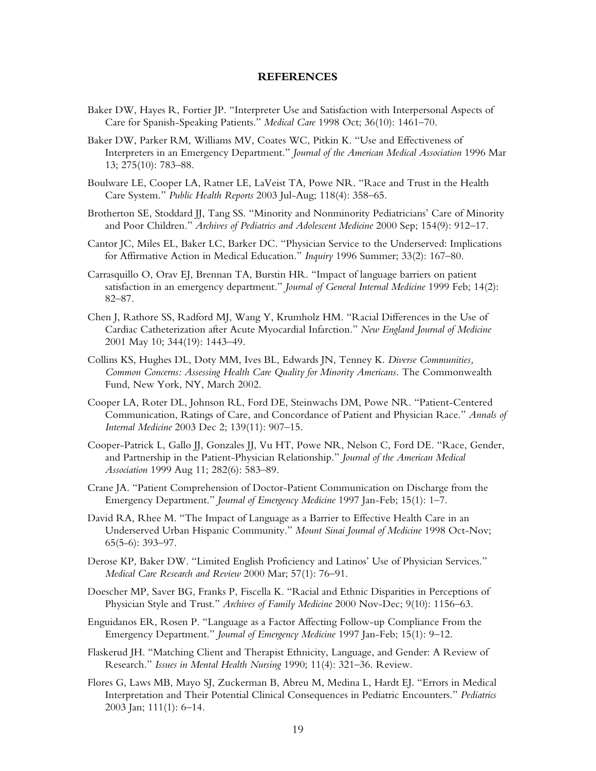#### **REFERENCES**

- Baker DW, Hayes R, Fortier JP. "Interpreter Use and Satisfaction with Interpersonal Aspects of Care for Spanish-Speaking Patients." *Medical Care* 1998 Oct; 36(10): 1461–70.
- Baker DW, Parker RM, Williams MV, Coates WC, Pitkin K. "Use and Effectiveness of Interpreters in an Emergency Department." *Journal of the American Medical Association* 1996 Mar 13; 275(10): 783–88.
- Boulware LE, Cooper LA, Ratner LE, LaVeist TA, Powe NR. "Race and Trust in the Health Care System." *Public Health Reports* 2003 Jul-Aug; 118(4): 358–65.
- Brotherton SE, Stoddard JJ, Tang SS. "Minority and Nonminority Pediatricians' Care of Minority and Poor Children." *Archives of Pediatrics and Adolescent Medicine* 2000 Sep; 154(9): 912–17.
- Cantor JC, Miles EL, Baker LC, Barker DC. "Physician Service to the Underserved: Implications for Affirmative Action in Medical Education." *Inquiry* 1996 Summer; 33(2): 167–80.
- Carrasquillo O, Orav EJ, Brennan TA, Burstin HR. "Impact of language barriers on patient satisfaction in an emergency department." *Journal of General Internal Medicine* 1999 Feb; 14(2): 82–87.
- Chen J, Rathore SS, Radford MJ, Wang Y, Krumholz HM. "Racial Differences in the Use of Cardiac Catheterization after Acute Myocardial Infarction." *New England Journal of Medicine* 2001 May 10; 344(19): 1443–49.
- Collins KS, Hughes DL, Doty MM, Ives BL, Edwards JN, Tenney K. *Diverse Communities, Common Concerns: Assessing Health Care Quality for Minority Americans.* The Commonwealth Fund, New York, NY, March 2002.
- Cooper LA, Roter DL, Johnson RL, Ford DE, Steinwachs DM, Powe NR. "Patient-Centered Communication, Ratings of Care, and Concordance of Patient and Physician Race." *Annals of Internal Medicine* 2003 Dec 2; 139(11): 907–15.
- Cooper-Patrick L, Gallo JJ, Gonzales JJ, Vu HT, Powe NR, Nelson C, Ford DE. "Race, Gender, and Partnership in the Patient-Physician Relationship." *Journal of the American Medical Association* 1999 Aug 11; 282(6): 583–89.
- Crane JA. "Patient Comprehension of Doctor-Patient Communication on Discharge from the Emergency Department." *Journal of Emergency Medicine* 1997 Jan-Feb; 15(1): 1–7.
- David RA, Rhee M. "The Impact of Language as a Barrier to Effective Health Care in an Underserved Urban Hispanic Community." *Mount Sinai Journal of Medicine* 1998 Oct-Nov; 65(5-6): 393–97.
- Derose KP, Baker DW. "Limited English Proficiency and Latinos' Use of Physician Services." *Medical Care Research and Review* 2000 Mar; 57(1): 76–91.
- Doescher MP, Saver BG, Franks P, Fiscella K. "Racial and Ethnic Disparities in Perceptions of Physician Style and Trust." *Archives of Family Medicine* 2000 Nov-Dec; 9(10): 1156–63.
- Enguidanos ER, Rosen P. "Language as a Factor Affecting Follow-up Compliance From the Emergency Department." *Journal of Emergency Medicine* 1997 Jan-Feb; 15(1): 9–12.
- Flaskerud JH. "Matching Client and Therapist Ethnicity, Language, and Gender: A Review of Research." *Issues in Mental Health Nursing* 1990; 11(4): 321–36. Review.
- Flores G, Laws MB, Mayo SJ, Zuckerman B, Abreu M, Medina L, Hardt EJ. "Errors in Medical Interpretation and Their Potential Clinical Consequences in Pediatric Encounters." *Pediatrics* 2003 Jan; 111(1): 6–14.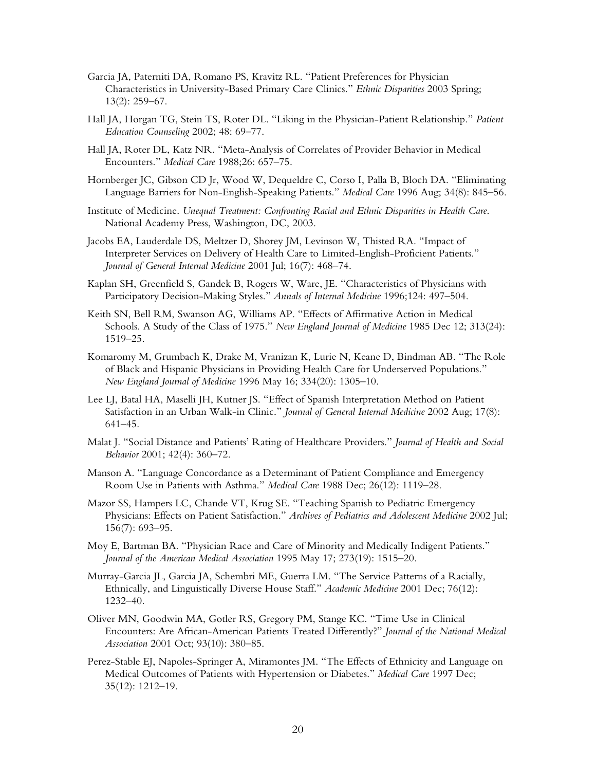- Garcia JA, Paterniti DA, Romano PS, Kravitz RL. "Patient Preferences for Physician Characteristics in University-Based Primary Care Clinics." *Ethnic Disparities* 2003 Spring; 13(2): 259–67.
- Hall JA, Horgan TG, Stein TS, Roter DL. "Liking in the Physician-Patient Relationship." *Patient Education Counseling* 2002; 48: 69–77.
- Hall JA, Roter DL, Katz NR. "Meta-Analysis of Correlates of Provider Behavior in Medical Encounters." *Medical Care* 1988;26: 657–75.
- Hornberger JC, Gibson CD Jr, Wood W, Dequeldre C, Corso I, Palla B, Bloch DA. "Eliminating Language Barriers for Non-English-Speaking Patients." *Medical Care* 1996 Aug; 34(8): 845–56.
- Institute of Medicine. *Unequal Treatment: Confronting Racial and Ethnic Disparities in Health Care*. National Academy Press, Washington, DC, 2003.
- Jacobs EA, Lauderdale DS, Meltzer D, Shorey JM, Levinson W, Thisted RA. "Impact of Interpreter Services on Delivery of Health Care to Limited-English-Proficient Patients." *Journal of General Internal Medicine* 2001 Jul; 16(7): 468–74.
- Kaplan SH, Greenfield S, Gandek B, Rogers W, Ware, JE. "Characteristics of Physicians with Participatory Decision-Making Styles." *Annals of Internal Medicine* 1996;124: 497–504.
- Keith SN, Bell RM, Swanson AG, Williams AP. "Effects of Affirmative Action in Medical Schools. A Study of the Class of 1975." *New England Journal of Medicine* 1985 Dec 12; 313(24): 1519–25.
- Komaromy M, Grumbach K, Drake M, Vranizan K, Lurie N, Keane D, Bindman AB. "The Role of Black and Hispanic Physicians in Providing Health Care for Underserved Populations." *New England Journal of Medicine* 1996 May 16; 334(20): 1305–10.
- Lee LJ, Batal HA, Maselli JH, Kutner JS. "Effect of Spanish Interpretation Method on Patient Satisfaction in an Urban Walk-in Clinic." *Journal of General Internal Medicine* 2002 Aug; 17(8): 641–45.
- Malat J. "Social Distance and Patients' Rating of Healthcare Providers." *Journal of Health and Social Behavior* 2001; 42(4): 360–72.
- Manson A. "Language Concordance as a Determinant of Patient Compliance and Emergency Room Use in Patients with Asthma." *Medical Care* 1988 Dec; 26(12): 1119–28.
- Mazor SS, Hampers LC, Chande VT, Krug SE. "Teaching Spanish to Pediatric Emergency Physicians: Effects on Patient Satisfaction." *Archives of Pediatrics and Adolescent Medicine* 2002 Jul; 156(7): 693–95.
- Moy E, Bartman BA. "Physician Race and Care of Minority and Medically Indigent Patients." *Journal of the American Medical Association* 1995 May 17; 273(19): 1515–20.
- Murray-Garcia JL, Garcia JA, Schembri ME, Guerra LM. "The Service Patterns of a Racially, Ethnically, and Linguistically Diverse House Staff." *Academic Medicine* 2001 Dec; 76(12): 1232–40.
- Oliver MN, Goodwin MA, Gotler RS, Gregory PM, Stange KC. "Time Use in Clinical Encounters: Are African-American Patients Treated Differently?" *Journal of the National Medical Association* 2001 Oct; 93(10): 380–85.
- Perez-Stable EJ, Napoles-Springer A, Miramontes JM. "The Effects of Ethnicity and Language on Medical Outcomes of Patients with Hypertension or Diabetes." *Medical Care* 1997 Dec; 35(12): 1212–19.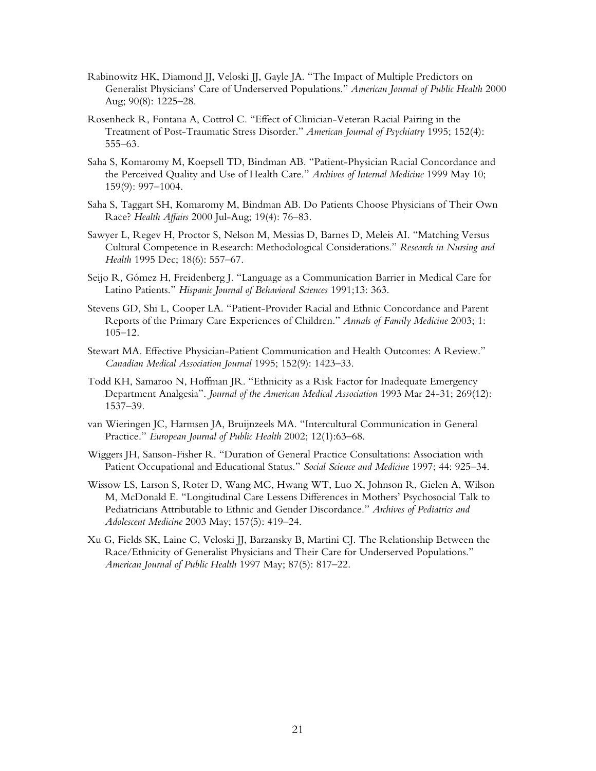- Rabinowitz HK, Diamond JJ, Veloski JJ, Gayle JA. "The Impact of Multiple Predictors on Generalist Physicians' Care of Underserved Populations." *American Journal of Public Health* 2000 Aug; 90(8): 1225–28.
- Rosenheck R, Fontana A, Cottrol C. "Effect of Clinician-Veteran Racial Pairing in the Treatment of Post-Traumatic Stress Disorder." *American Journal of Psychiatry* 1995; 152(4): 555–63.
- Saha S, Komaromy M, Koepsell TD, Bindman AB. "Patient-Physician Racial Concordance and the Perceived Quality and Use of Health Care." *Archives of Internal Medicine* 1999 May 10; 159(9): 997–1004.
- Saha S, Taggart SH, Komaromy M, Bindman AB. Do Patients Choose Physicians of Their Own Race? *Health Affairs* 2000 Jul-Aug; 19(4): 76–83.
- Sawyer L, Regev H, Proctor S, Nelson M, Messias D, Barnes D, Meleis AI. "Matching Versus Cultural Competence in Research: Methodological Considerations." *Research in Nursing and Health* 1995 Dec; 18(6): 557–67.
- Seijo R, Gómez H, Freidenberg J. "Language as a Communication Barrier in Medical Care for Latino Patients." *Hispanic Journal of Behavioral Sciences* 1991;13: 363.
- Stevens GD, Shi L, Cooper LA. "Patient-Provider Racial and Ethnic Concordance and Parent Reports of the Primary Care Experiences of Children." *Annals of Family Medicine* 2003; 1: 105–12.
- Stewart MA. Effective Physician-Patient Communication and Health Outcomes: A Review." *Canadian Medical Association Journal* 1995; 152(9): 1423–33.
- Todd KH, Samaroo N, Hoffman JR. "Ethnicity as a Risk Factor for Inadequate Emergency Department Analgesia". *Journal of the American Medical Association* 1993 Mar 24-31; 269(12): 1537–39.
- van Wieringen JC, Harmsen JA, Bruijnzeels MA. "Intercultural Communication in General Practice." *European Journal of Public Health* 2002; 12(1):63–68.
- Wiggers JH, Sanson-Fisher R. "Duration of General Practice Consultations: Association with Patient Occupational and Educational Status." *Social Science and Medicine* 1997; 44: 925–34.
- Wissow LS, Larson S, Roter D, Wang MC, Hwang WT, Luo X, Johnson R, Gielen A, Wilson M, McDonald E. "Longitudinal Care Lessens Differences in Mothers' Psychosocial Talk to Pediatricians Attributable to Ethnic and Gender Discordance." *Archives of Pediatrics and Adolescent Medicine* 2003 May; 157(5): 419–24.
- Xu G, Fields SK, Laine C, Veloski JJ, Barzansky B, Martini CJ. The Relationship Between the Race/Ethnicity of Generalist Physicians and Their Care for Underserved Populations." *American Journal of Public Health* 1997 May; 87(5): 817–22.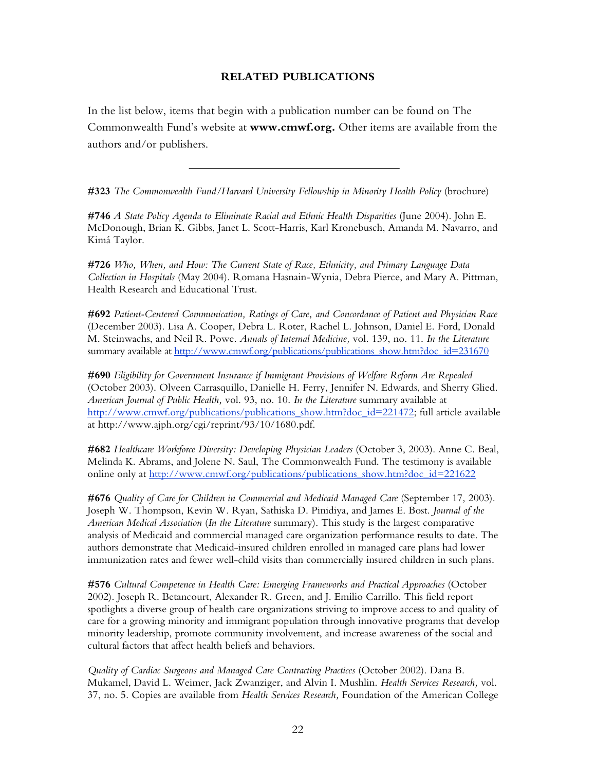### **RELATED PUBLICATIONS**

In the list below, items that begin with a publication number can be found on The Commonwealth Fund's website at **www.cmwf.org.** Other items are available from the authors and/or publishers.

**#323** *The Commonwealth Fund/Harvard University Fellowship in Minority Health Policy* (brochure)

**#746** *A State Policy Agenda to Eliminate Racial and Ethnic Health Disparities* (June 2004). John E. McDonough, Brian K. Gibbs, Janet L. Scott-Harris, Karl Kronebusch, Amanda M. Navarro, and Kimá Taylor.

**#726** *Who, When, and How: The Current State of Race, Ethnicity, and Primary Language Data Collection in Hospitals* (May 2004). Romana Hasnain-Wynia, Debra Pierce, and Mary A. Pittman, Health Research and Educational Trust.

**#692** *Patient-Centered Communication, Ratings of Care, and Concordance of Patient and Physician Race* (December 2003). Lisa A. Cooper, Debra L. Roter, Rachel L. Johnson, Daniel E. Ford, Donald M. Steinwachs, and Neil R. Powe. *Annals of Internal Medicine,* vol. 139, no. 11. *In the Literature* summary available at [http://www.cmwf.org/publications/publications\\_show.htm?doc\\_id=231670](http://www.cmwf.org/publications/publications_show.htm?doc_id=231670)

**#690** *Eligibility for Government Insurance if Immigrant Provisions of Welfare Reform Are Repealed* (October 2003). Olveen Carrasquillo, Danielle H. Ferry, Jennifer N. Edwards, and Sherry Glied. *American Journal of Public Health,* vol. 93, no. 10. *In the Literature* summary available at [http://www.cmwf.org/publications/publications\\_show.htm?doc\\_id=221472](http://www.cmwf.org/publications/publications_show.htm?doc_id=221472); full article available at http://www.ajph.org/cgi/reprint/93/10/1680.pdf.

**#682** *Healthcare Workforce Diversity: Developing Physician Leaders* (October 3, 2003). Anne C. Beal, Melinda K. Abrams, and Jolene N. Saul, The Commonwealth Fund. The testimony is available online only at [http://www.cmwf.org/publications/publications\\_show.htm?doc\\_id=221622](http://www.cmwf.org/publications/publications_show.htm?doc_id=221622)

**#676** *Quality of Care for Children in Commercial and Medicaid Managed Care* (September 17, 2003). Joseph W. Thompson, Kevin W. Ryan, Sathiska D. Pinidiya, and James E. Bost. *Journal of the American Medical Association* (*In the Literature* summary). This study is the largest comparative analysis of Medicaid and commercial managed care organization performance results to date. The authors demonstrate that Medicaid-insured children enrolled in managed care plans had lower immunization rates and fewer well-child visits than commercially insured children in such plans.

**#576** *Cultural Competence in Health Care: Emerging Frameworks and Practical Approaches* (October 2002). Joseph R. Betancourt, Alexander R. Green, and J. Emilio Carrillo. This field report spotlights a diverse group of health care organizations striving to improve access to and quality of care for a growing minority and immigrant population through innovative programs that develop minority leadership, promote community involvement, and increase awareness of the social and cultural factors that affect health beliefs and behaviors.

*Quality of Cardiac Surgeons and Managed Care Contracting Practices* (October 2002). Dana B. Mukamel, David L. Weimer, Jack Zwanziger, and Alvin I. Mushlin. *Health Services Research,* vol. 37, no. 5. Copies are available from *Health Services Research,* Foundation of the American College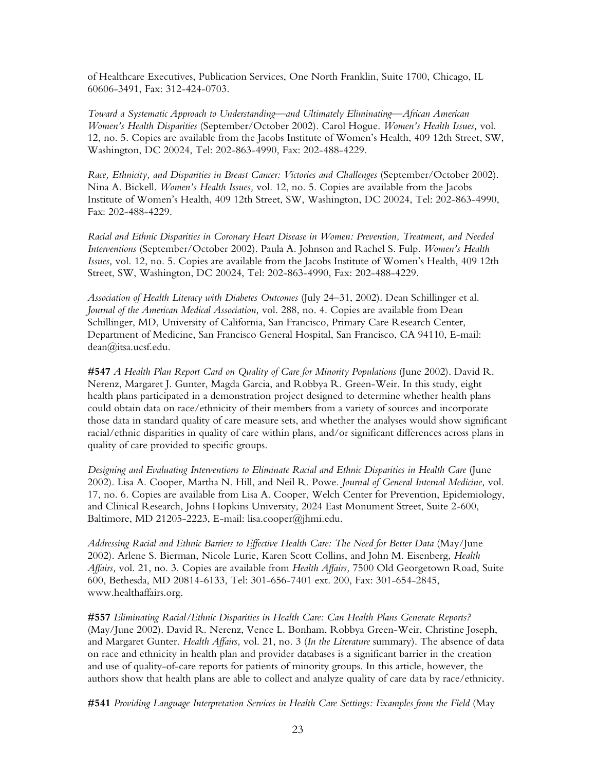of Healthcare Executives, Publication Services, One North Franklin, Suite 1700, Chicago, IL 60606-3491, Fax: 312-424-0703.

*Toward a Systematic Approach to Understanding—and Ultimately Eliminating—African American Women's Health Disparities* (September/October 2002). Carol Hogue. *Women's Health Issues,* vol. 12, no. 5. Copies are available from the Jacobs Institute of Women's Health, 409 12th Street, SW, Washington, DC 20024, Tel: 202-863-4990, Fax: 202-488-4229.

*Race, Ethnicity, and Disparities in Breast Cancer: Victories and Challenges* (September/October 2002). Nina A. Bickell. *Women's Health Issues,* vol. 12, no. 5. Copies are available from the Jacobs Institute of Women's Health, 409 12th Street, SW, Washington, DC 20024, Tel: 202-863-4990, Fax: 202-488-4229.

*Racial and Ethnic Disparities in Coronary Heart Disease in Women: Prevention, Treatment, and Needed Interventions* (September/October 2002). Paula A. Johnson and Rachel S. Fulp. *Women's Health Issues,* vol. 12, no. 5. Copies are available from the Jacobs Institute of Women's Health, 409 12th Street, SW, Washington, DC 20024, Tel: 202-863-4990, Fax: 202-488-4229.

*Association of Health Literacy with Diabetes Outcomes* (July 24–31, 2002). Dean Schillinger et al. *Journal of the American Medical Association,* vol. 288, no. 4. Copies are available from Dean Schillinger, MD, University of California, San Francisco, Primary Care Research Center, Department of Medicine, San Francisco General Hospital, San Francisco, CA 94110, E-mail: dean@itsa.ucsf.edu.

**#547** *A Health Plan Report Card on Quality of Care for Minority Populations* (June 2002). David R. Nerenz, Margaret J. Gunter, Magda Garcia, and Robbya R. Green-Weir. In this study, eight health plans participated in a demonstration project designed to determine whether health plans could obtain data on race/ethnicity of their members from a variety of sources and incorporate those data in standard quality of care measure sets, and whether the analyses would show significant racial/ethnic disparities in quality of care within plans, and/or significant differences across plans in quality of care provided to specific groups.

*Designing and Evaluating Interventions to Eliminate Racial and Ethnic Disparities in Health Care* (June 2002). Lisa A. Cooper, Martha N. Hill, and Neil R. Powe. *Journal of General Internal Medicine,* vol. 17, no. 6. Copies are available from Lisa A. Cooper, Welch Center for Prevention, Epidemiology, and Clinical Research, Johns Hopkins University, 2024 East Monument Street, Suite 2-600, Baltimore, MD 21205-2223, E-mail: lisa.cooper@jhmi.edu.

*Addressing Racial and Ethnic Barriers to Effective Health Care: The Need for Better Data* (May/June 2002). Arlene S. Bierman, Nicole Lurie, Karen Scott Collins, and John M. Eisenberg, *Health Affairs,* vol. 21, no. 3. Copies are available from *Health Affairs,* 7500 Old Georgetown Road, Suite 600, Bethesda, MD 20814-6133, Tel: 301-656-7401 ext. 200, Fax: 301-654-2845, www.healthaffairs.org.

**#557** *Eliminating Racial/Ethnic Disparities in Health Care: Can Health Plans Generate Reports?* (May/June 2002). David R. Nerenz, Vence L. Bonham, Robbya Green-Weir, Christine Joseph, and Margaret Gunter. *Health Affairs,* vol. 21, no. 3 (*In the Literature* summary). The absence of data on race and ethnicity in health plan and provider databases is a significant barrier in the creation and use of quality-of-care reports for patients of minority groups. In this article, however, the authors show that health plans are able to collect and analyze quality of care data by race/ethnicity.

**#541** *Providing Language Interpretation Services in Health Care Settings: Examples from the Field* (May